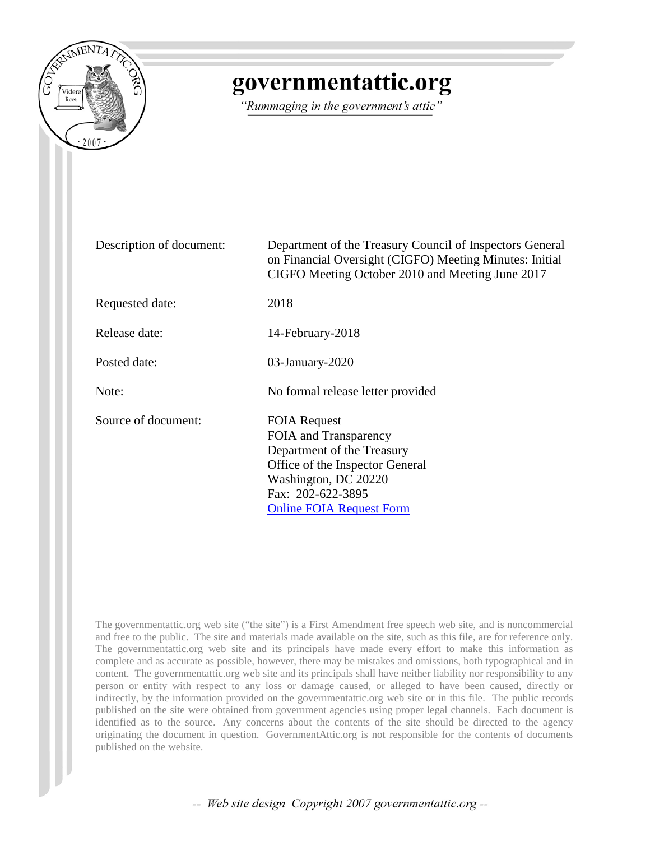

# governmentattic.org

"Rummaging in the government's attic"

| Description of document: | Department of the Treasury Council of Inspectors General<br>on Financial Oversight (CIGFO) Meeting Minutes: Initial<br>CIGFO Meeting October 2010 and Meeting June 2017                       |
|--------------------------|-----------------------------------------------------------------------------------------------------------------------------------------------------------------------------------------------|
| Requested date:          | 2018                                                                                                                                                                                          |
| Release date:            | 14-February-2018                                                                                                                                                                              |
| Posted date:             | $03$ -January-2020                                                                                                                                                                            |
| Note:                    | No formal release letter provided                                                                                                                                                             |
| Source of document:      | <b>FOIA Request</b><br>FOIA and Transparency<br>Department of the Treasury<br>Office of the Inspector General<br>Washington, DC 20220<br>Fax: 202-622-3895<br><b>Online FOIA Request Form</b> |

The governmentattic.org web site ("the site") is a First Amendment free speech web site, and is noncommercial and free to the public. The site and materials made available on the site, such as this file, are for reference only. The governmentattic.org web site and its principals have made every effort to make this information as complete and as accurate as possible, however, there may be mistakes and omissions, both typographical and in content. The governmentattic.org web site and its principals shall have neither liability nor responsibility to any person or entity with respect to any loss or damage caused, or alleged to have been caused, directly or indirectly, by the information provided on the governmentattic.org web site or in this file. The public records published on the site were obtained from government agencies using proper legal channels. Each document is identified as to the source. Any concerns about the contents of the site should be directed to the agency originating the document in question. GovernmentAttic.org is not responsible for the contents of documents published on the website.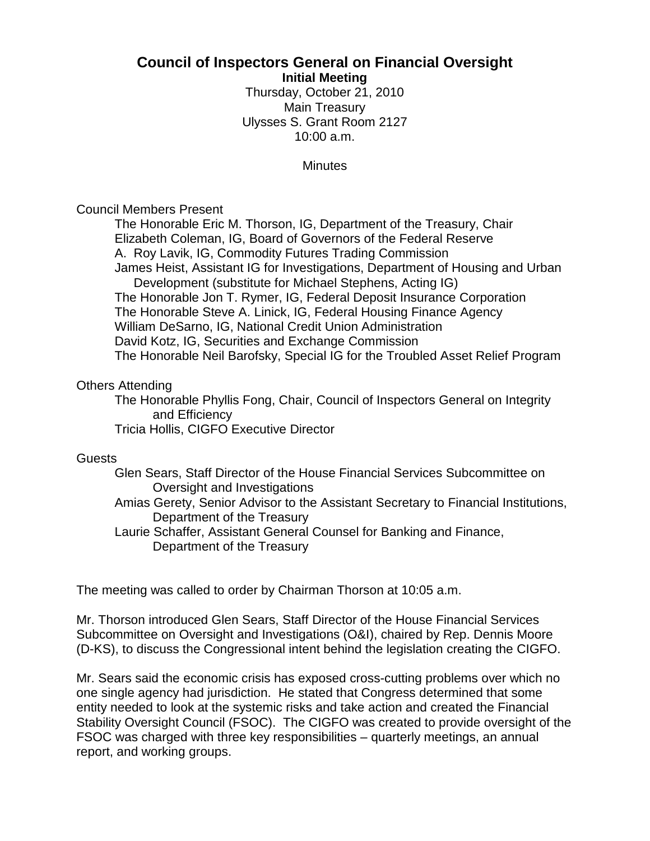# **Council of Inspectors General on Financial Oversight**

**Initial Meeting**

Thursday, October 21, 2010 Main Treasury Ulysses S. Grant Room 2127 10:00 a.m.

**Minutes** 

### Council Members Present

The Honorable Eric M. Thorson, IG, Department of the Treasury, Chair Elizabeth Coleman, IG, Board of Governors of the Federal Reserve A. Roy Lavik, IG, Commodity Futures Trading Commission James Heist, Assistant IG for Investigations, Department of Housing and Urban Development (substitute for Michael Stephens, Acting IG) The Honorable Jon T. Rymer, IG, Federal Deposit Insurance Corporation The Honorable Steve A. Linick, IG, Federal Housing Finance Agency William DeSarno, IG, National Credit Union Administration David Kotz, IG, Securities and Exchange Commission The Honorable Neil Barofsky, Special IG for the Troubled Asset Relief Program

## Others Attending

The Honorable Phyllis Fong, Chair, Council of Inspectors General on Integrity and Efficiency Tricia Hollis, CIGFO Executive Director

#### **Guests**

Glen Sears, Staff Director of the House Financial Services Subcommittee on Oversight and Investigations

Amias Gerety, Senior Advisor to the Assistant Secretary to Financial Institutions, Department of the Treasury

Laurie Schaffer, Assistant General Counsel for Banking and Finance, Department of the Treasury

The meeting was called to order by Chairman Thorson at 10:05 a.m.

Mr. Thorson introduced Glen Sears, Staff Director of the House Financial Services Subcommittee on Oversight and Investigations (O&I), chaired by Rep. Dennis Moore (D-KS), to discuss the Congressional intent behind the legislation creating the CIGFO.

Mr. Sears said the economic crisis has exposed cross-cutting problems over which no one single agency had jurisdiction. He stated that Congress determined that some entity needed to look at the systemic risks and take action and created the Financial Stability Oversight Council (FSOC). The CIGFO was created to provide oversight of the FSOC was charged with three key responsibilities – quarterly meetings, an annual report, and working groups.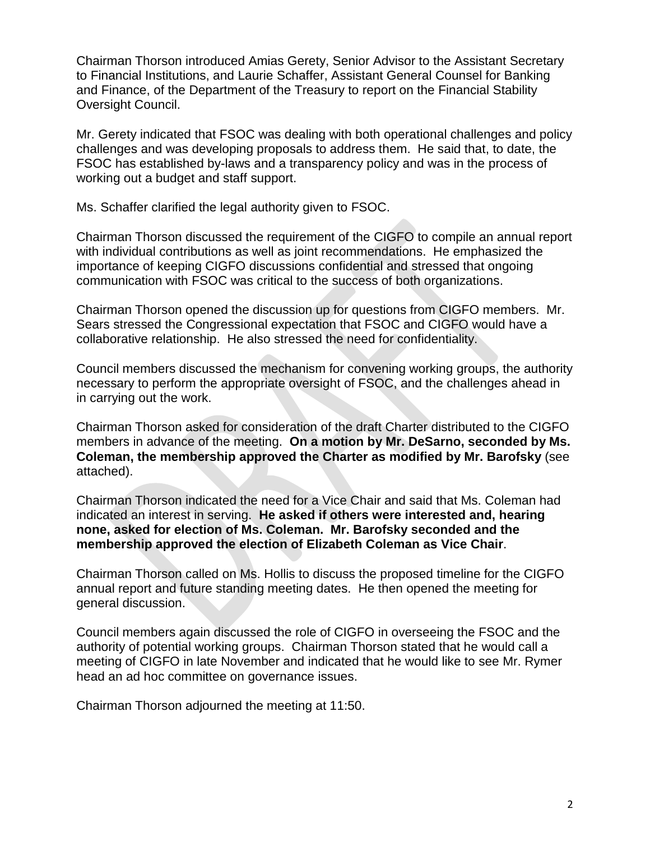Chairman Thorson introduced Amias Gerety, Senior Advisor to the Assistant Secretary to Financial Institutions, and Laurie Schaffer, Assistant General Counsel for Banking and Finance, of the Department of the Treasury to report on the Financial Stability Oversight Council.

Mr. Gerety indicated that FSOC was dealing with both operational challenges and policy challenges and was developing proposals to address them. He said that, to date, the FSOC has established by-laws and a transparency policy and was in the process of working out a budget and staff support.

Ms. Schaffer clarified the legal authority given to FSOC.

Chairman Thorson discussed the requirement of the CIGFO to compile an annual report with individual contributions as well as joint recommendations. He emphasized the importance of keeping CIGFO discussions confidential and stressed that ongoing communication with FSOC was critical to the success of both organizations.

Chairman Thorson opened the discussion up for questions from CIGFO members. Mr. Sears stressed the Congressional expectation that FSOC and CIGFO would have a collaborative relationship. He also stressed the need for confidentiality.

Council members discussed the mechanism for convening working groups, the authority necessary to perform the appropriate oversight of FSOC, and the challenges ahead in in carrying out the work.

Chairman Thorson asked for consideration of the draft Charter distributed to the CIGFO members in advance of the meeting. **On a motion by Mr. DeSarno, seconded by Ms. Coleman, the membership approved the Charter as modified by Mr. Barofsky** (see attached).

Chairman Thorson indicated the need for a Vice Chair and said that Ms. Coleman had indicated an interest in serving. **He asked if others were interested and, hearing none, asked for election of Ms. Coleman. Mr. Barofsky seconded and the membership approved the election of Elizabeth Coleman as Vice Chair**.

Chairman Thorson called on Ms. Hollis to discuss the proposed timeline for the CIGFO annual report and future standing meeting dates. He then opened the meeting for general discussion.

Council members again discussed the role of CIGFO in overseeing the FSOC and the authority of potential working groups. Chairman Thorson stated that he would call a meeting of CIGFO in late November and indicated that he would like to see Mr. Rymer head an ad hoc committee on governance issues.

Chairman Thorson adjourned the meeting at 11:50.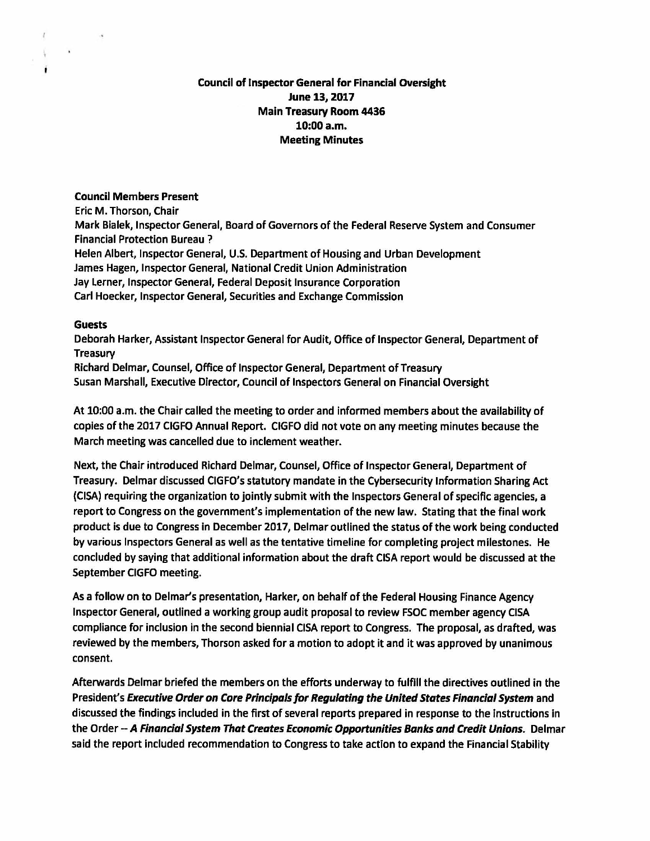#### **Council of Inspector General for Financial Oversight June 13, 2017 Main Treasury Room 4436 10:00a.m. Meeting Minutes**

#### **Council Members Present**

Eric M. Thorson, Chair

**Mark Bialek,** Inspector General, Board of Governors of the Federal Reserve System and Consumer Financial Protection Bureau ?

Helen Albert, Inspector General, U.S. Department of Housing and Urban Development James Hagen, Inspector General, National Credit Union Administration Jay Lerner, Inspector General, Federal Deposit Insurance Corporation Carl Hoecker, Inspector General, Securities and Exchange Commission

#### **Guests**

 $\ell$ 

 $\lambda$ 

 $\sim$ 

Deborah Harker, Assistant Inspector General for Audit, Office of Inspector General, Department of Treasury

Richard Delmar, Counsel, Office of Inspector General, Department of Treasury Susan Marshall, Executive Director, Council of Inspectors General on Financial Oversight

At 10:00 a.m. the Chair called the meeting to order and informed members about the availability of copies of the 2017 CIGFO Annual Report. CIGFO did not vote on any meeting minutes because the March meeting was cancelled due to inclement weather.

Next, the Chair introduced Richard Delmar, Counsel, Office of Inspector General, Department of Treasury. Delmar discussed CIGFO's statutory mandate in the Cybersecurity Information Sharing Act {CISA) requiring the organization to jointly submit with the Inspectors General of specific agencies, a report to Congress on the government's implementation of the new law. Stating that the final work product is due to Congress in December 2017, Delmar outlined the status of the work being conducted by various Inspectors General as well as the tentative timeline for completing project milestones. He concluded by saying that additional information about the draft CISA report would be discussed at the September CIGFO meeting.

As a follow on to Delmar's presentation, Harker, on behalf of the Federal Housing Finance Agency Inspector General, outlined a working group audit proposal to review FSOC member agency CISA compliance for inclusion in the second biennial CISA report to Congress. The proposal, as drafted, was reviewed by the members, Thorson asked for a motion to adopt it and it was approved by unanimous consent.

Afterwards Delmar briefed the members on the efforts underway to fulfill the directives outlined in the President's **Executive Order on Care Principals for Regulating the United States Financial System** and discussed the findings included in the first of several reports prepared in response to the Instructions in the Order -- **A Financial System That Creates Economic Opportunities Banks and Credit Unions.** Delmar said the report included recommendation to Congress to take action to expand the Financial Stability